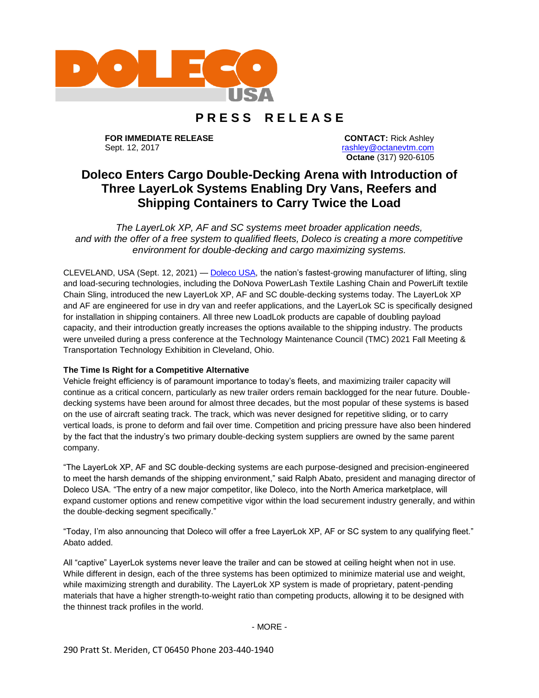

# **P R E S S R E L E A S E**

**FOR IMMEDIATE RELEASE** Sept. 12, 2017

**CONTACT:** Rick Ashley [rashley@octanevtm.com](mailto:rashley@octanevtm.com) **Octane** (317) 920-6105

# **Doleco Enters Cargo Double-Decking Arena with Introduction of Three LayerLok Systems Enabling Dry Vans, Reefers and Shipping Containers to Carry Twice the Load**

*The LayerLok XP, AF and SC systems meet broader application needs, and with the offer of a free system to qualified fleets, Doleco is creating a more competitive environment for double-decking and cargo maximizing systems.*

CLEVELAND, USA (Sept. 12, 2021) — [Doleco USA,](https://doleco-usa.com/) the nation's fastest-growing manufacturer of lifting, sling and load-securing technologies, including the DoNova PowerLash Textile Lashing Chain and PowerLift textile Chain Sling, introduced the new LayerLok XP, AF and SC double-decking systems today. The LayerLok XP and AF are engineered for use in dry van and reefer applications, and the LayerLok SC is specifically designed for installation in shipping containers. All three new LoadLok products are capable of doubling payload capacity, and their introduction greatly increases the options available to the shipping industry. The products were unveiled during a press conference at the Technology Maintenance Council (TMC) 2021 Fall Meeting & Transportation Technology Exhibition in Cleveland, Ohio.

# **The Time Is Right for a Competitive Alternative**

Vehicle freight efficiency is of paramount importance to today's fleets, and maximizing trailer capacity will continue as a critical concern, particularly as new trailer orders remain backlogged for the near future. Doubledecking systems have been around for almost three decades, but the most popular of these systems is based on the use of aircraft seating track. The track, which was never designed for repetitive sliding, or to carry vertical loads, is prone to deform and fail over time. Competition and pricing pressure have also been hindered by the fact that the industry's two primary double-decking system suppliers are owned by the same parent company.

"The LayerLok XP, AF and SC double-decking systems are each purpose-designed and precision-engineered to meet the harsh demands of the shipping environment," said Ralph Abato, president and managing director of Doleco USA. "The entry of a new major competitor, like Doleco, into the North America marketplace, will expand customer options and renew competitive vigor within the load securement industry generally, and within the double-decking segment specifically."

"Today, I'm also announcing that Doleco will offer a free LayerLok XP, AF or SC system to any qualifying fleet." Abato added.

All "captive" LayerLok systems never leave the trailer and can be stowed at ceiling height when not in use. While different in design, each of the three systems has been optimized to minimize material use and weight, while maximizing strength and durability. The LayerLok XP system is made of proprietary, patent-pending materials that have a higher strength-to-weight ratio than competing products, allowing it to be designed with the thinnest track profiles in the world.

- MORE -

290 Pratt St. Meriden, CT 06450 Phone 203-440-1940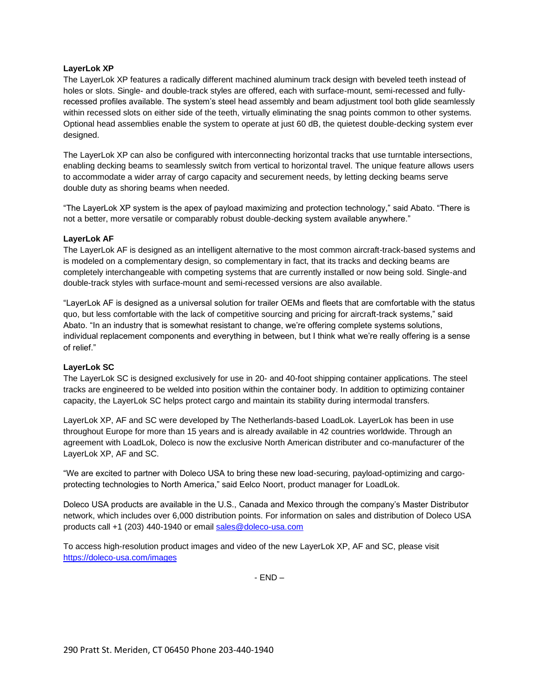## **LayerLok XP**

The LayerLok XP features a radically different machined aluminum track design with beveled teeth instead of holes or slots. Single- and double-track styles are offered, each with surface-mount, semi-recessed and fullyrecessed profiles available. The system's steel head assembly and beam adjustment tool both glide seamlessly within recessed slots on either side of the teeth, virtually eliminating the snag points common to other systems. Optional head assemblies enable the system to operate at just 60 dB, the quietest double-decking system ever designed.

The LayerLok XP can also be configured with interconnecting horizontal tracks that use turntable intersections, enabling decking beams to seamlessly switch from vertical to horizontal travel. The unique feature allows users to accommodate a wider array of cargo capacity and securement needs, by letting decking beams serve double duty as shoring beams when needed.

"The LayerLok XP system is the apex of payload maximizing and protection technology," said Abato. "There is not a better, more versatile or comparably robust double-decking system available anywhere."

#### **LayerLok AF**

The LayerLok AF is designed as an intelligent alternative to the most common aircraft-track-based systems and is modeled on a complementary design, so complementary in fact, that its tracks and decking beams are completely interchangeable with competing systems that are currently installed or now being sold. Single-and double-track styles with surface-mount and semi-recessed versions are also available.

"LayerLok AF is designed as a universal solution for trailer OEMs and fleets that are comfortable with the status quo, but less comfortable with the lack of competitive sourcing and pricing for aircraft-track systems," said Abato. "In an industry that is somewhat resistant to change, we're offering complete systems solutions, individual replacement components and everything in between, but I think what we're really offering is a sense of relief."

#### **LayerLok SC**

The LayerLok SC is designed exclusively for use in 20- and 40-foot shipping container applications. The steel tracks are engineered to be welded into position within the container body. In addition to optimizing container capacity, the LayerLok SC helps protect cargo and maintain its stability during intermodal transfers.

LayerLok XP, AF and SC were developed by The Netherlands-based LoadLok. LayerLok has been in use throughout Europe for more than 15 years and is already available in 42 countries worldwide. Through an agreement with LoadLok, Doleco is now the exclusive North American distributer and co-manufacturer of the LayerLok XP, AF and SC.

"We are excited to partner with Doleco USA to bring these new load-securing, payload-optimizing and cargoprotecting technologies to North America," said Eelco Noort, product manager for LoadLok.

Doleco USA products are available in the U.S., Canada and Mexico through the company's Master Distributor network, which includes over 6,000 distribution points. For information on sales and distribution of Doleco USA products call +1 (203) 440-1940 or email [sales@doleco-usa.com](mailto:sales@doleco-usa.com) 

To access high-resolution product images and video of the new LayerLok XP, AF and SC, please visit <https://doleco-usa.com/images>

- END –